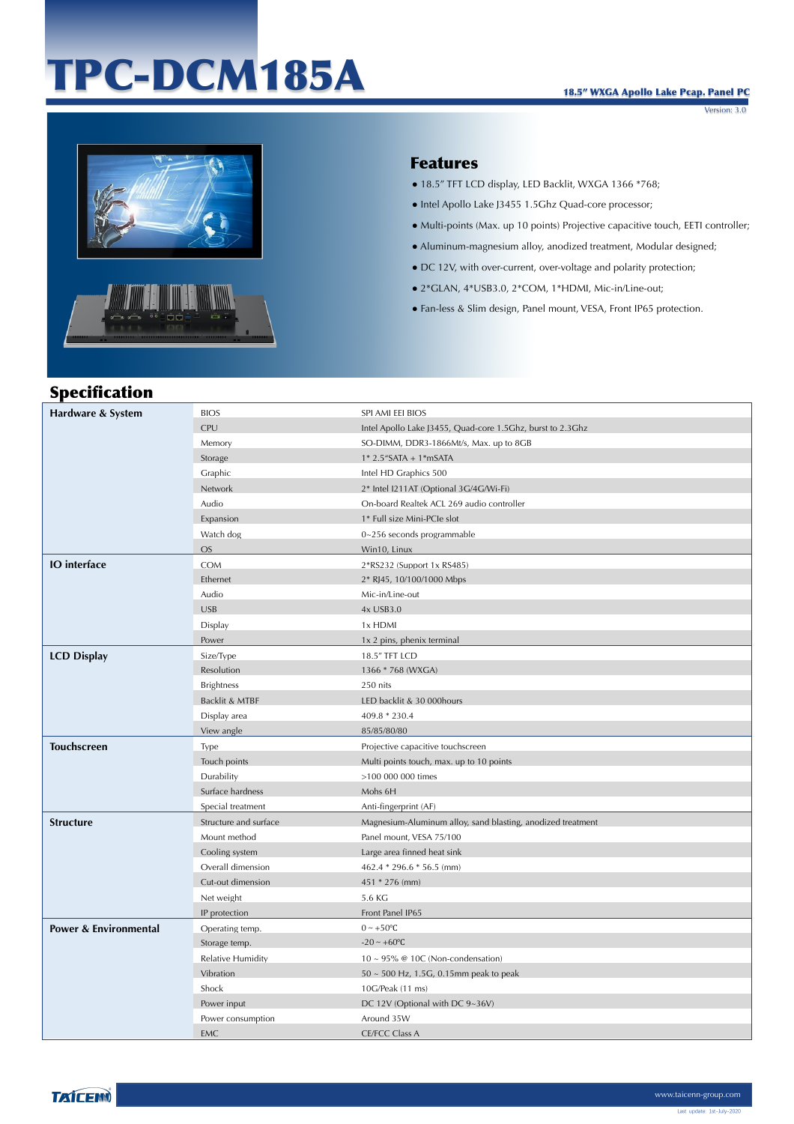# TPC-DCM185A

Version: 3.0



### Features

- 18.5" TFT LCD display, LED Backlit, WXGA 1366 \*768;
- Intel Apollo Lake J3455 1.5Ghz Quad-core processor;
- Multi-points (Max. up 10 points) Projective capacitive touch, EETI controller;
- Aluminum-magnesium alloy, anodized treatment, Modular designed;
- DC 12V, with over-current, over-voltage and polarity protection;
- 2\*GLAN, 4\*USB3.0, 2\*COM, 1\*HDMI, Mic-in/Line-out;
- Fan-less & Slim design, Panel mount, VESA, Front IP65 protection.

## Specification

| Hardware & System                | <b>BIOS</b>                     | SPI AMI EEI BIOS                                            |
|----------------------------------|---------------------------------|-------------------------------------------------------------|
|                                  | <b>CPU</b>                      | Intel Apollo Lake J3455, Quad-core 1.5Ghz, burst to 2.3Ghz  |
|                                  | Memory                          | SO-DIMM, DDR3-1866Mt/s, Max. up to 8GB                      |
|                                  | Storage                         | $1* 2.5"$ SATA + $1*$ mSATA                                 |
|                                  | Graphic                         | Intel HD Graphics 500                                       |
|                                  | Network                         | 2* Intel I211AT (Optional 3G/4G/Wi-Fi)                      |
|                                  | Audio                           | On-board Realtek ACL 269 audio controller                   |
|                                  | Expansion                       | 1* Full size Mini-PCIe slot                                 |
|                                  | Watch dog                       | $0 - 256$ seconds programmable                              |
|                                  | <b>OS</b>                       | Win10, Linux                                                |
| <b>IO</b> interface              | COM                             | 2*RS232 (Support 1x RS485)                                  |
|                                  | Ethernet                        | 2* RJ45, 10/100/1000 Mbps                                   |
|                                  | Audio                           | Mic-in/Line-out                                             |
|                                  | <b>USB</b>                      | 4x USB3.0                                                   |
|                                  | Display                         | 1x HDMI                                                     |
|                                  | Power                           | 1x 2 pins, phenix terminal                                  |
| <b>LCD Display</b>               | Size/Type                       | 18.5" TFT LCD                                               |
|                                  | Resolution                      | 1366 * 768 (WXGA)                                           |
|                                  | <b>Brightness</b>               | 250 nits                                                    |
|                                  | Backlit & MTBF                  | LED backlit & 30 000hours                                   |
|                                  | Display area                    | 409.8 * 230.4                                               |
|                                  | View angle                      | 85/85/80/80                                                 |
| <b>Touchscreen</b>               | Type                            | Projective capacitive touchscreen                           |
|                                  | Touch points                    | Multi points touch, max. up to 10 points                    |
|                                  | Durability                      | >100 000 000 times                                          |
|                                  | Surface hardness                | Mohs 6H                                                     |
|                                  | Special treatment               | Anti-fingerprint (AF)                                       |
| <b>Structure</b>                 | Structure and surface           | Magnesium-Aluminum alloy, sand blasting, anodized treatment |
|                                  | Mount method                    | Panel mount, VESA 75/100                                    |
|                                  | Cooling system                  | Large area finned heat sink                                 |
|                                  | Overall dimension               | 462.4 * 296.6 * 56.5 (mm)                                   |
|                                  | Cut-out dimension               | 451 * 276 (mm)                                              |
|                                  | Net weight                      | 5.6 KG                                                      |
|                                  | IP protection                   | Front Panel IP65                                            |
| <b>Power &amp; Environmental</b> |                                 |                                                             |
|                                  | Operating temp.                 | $0 \sim +50$ °C                                             |
|                                  | Storage temp.                   | $-20 \sim +60$ °C                                           |
|                                  | Relative Humidity               | $10 \sim 95\%$ @ 10C (Non-condensation)                     |
|                                  | Vibration                       | $50 \sim 500$ Hz, 1.5G, 0.15mm peak to peak                 |
|                                  | Shock                           | 10G/Peak (11 ms)                                            |
|                                  | Power input                     | DC 12V (Optional with DC 9~36V)                             |
|                                  | Power consumption<br><b>EMC</b> | Around 35W<br><b>CE/FCC Class A</b>                         |